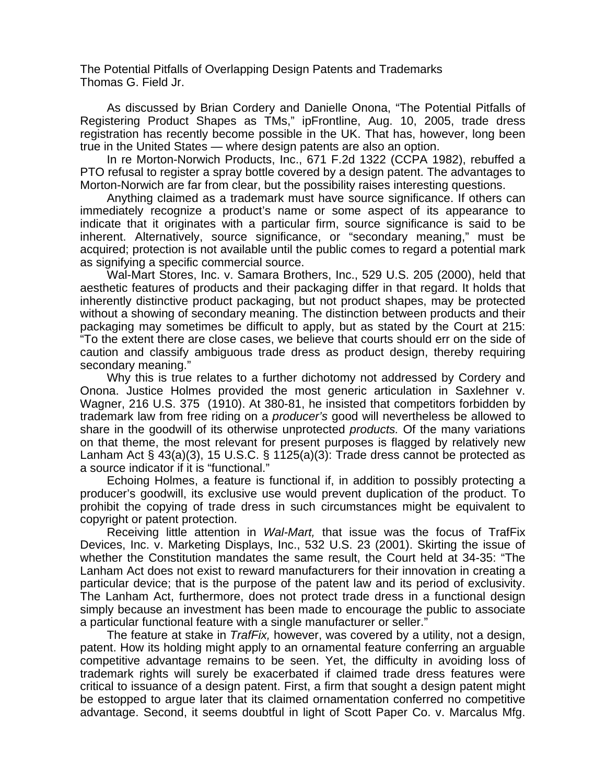The Potential Pitfalls of Overlapping Design Patents and Trademarks Thomas G. Field Jr.

 As discussed by Brian Cordery and Danielle Onona, "The Potential Pitfalls of Registering Product Shapes as TMs," ipFrontline, Aug. 10, 2005, trade dress registration has recently become possible in the UK. That has, however, long been true in the United States — where design patents are also an option.

 In re Morton-Norwich Products, Inc., 671 F.2d 1322 (CCPA 1982), rebuffed a PTO refusal to register a spray bottle covered by a design patent. The advantages to Morton-Norwich are far from clear, but the possibility raises interesting questions.

 Anything claimed as a trademark must have source significance. If others can immediately recognize a product's name or some aspect of its appearance to indicate that it originates with a particular firm, source significance is said to be inherent. Alternatively, source significance, or "secondary meaning," must be acquired; protection is not available until the public comes to regard a potential mark as signifying a specific commercial source.

 Wal-Mart Stores, Inc. v. Samara Brothers, Inc., 529 U.S. 205 (2000), held that aesthetic features of products and their packaging differ in that regard. It holds that inherently distinctive product packaging, but not product shapes, may be protected without a showing of secondary meaning. The distinction between products and their packaging may sometimes be difficult to apply, but as stated by the Court at 215: "To the extent there are close cases, we believe that courts should err on the side of caution and classify ambiguous trade dress as product design, thereby requiring secondary meaning."

 Why this is true relates to a further dichotomy not addressed by Cordery and Onona. Justice Holmes provided the most generic articulation in Saxlehner v. Wagner, 216 U.S. 375 (1910). At 380-81, he insisted that competitors forbidden by trademark law from free riding on a *producer's* good will nevertheless be allowed to share in the goodwill of its otherwise unprotected *products.* Of the many variations on that theme, the most relevant for present purposes is flagged by relatively new Lanham Act  $\S$  43(a)(3), 15 U.S.C.  $\S$  1125(a)(3): Trade dress cannot be protected as a source indicator if it is "functional."

 Echoing Holmes, a feature is functional if, in addition to possibly protecting a producer's goodwill, its exclusive use would prevent duplication of the product. To prohibit the copying of trade dress in such circumstances might be equivalent to copyright or patent protection.

 Receiving little attention in *Wal-Mart,* that issue was the focus of TrafFix Devices, Inc. v. Marketing Displays, Inc., 532 U.S. 23 (2001). Skirting the issue of whether the Constitution mandates the same result, the Court held at 34-35: "The Lanham Act does not exist to reward manufacturers for their innovation in creating a particular device; that is the purpose of the patent law and its period of exclusivity. The Lanham Act, furthermore, does not protect trade dress in a functional design simply because an investment has been made to encourage the public to associate a particular functional feature with a single manufacturer or seller."

 The feature at stake in *TrafFix,* however, was covered by a utility, not a design, patent. How its holding might apply to an ornamental feature conferring an arguable competitive advantage remains to be seen. Yet, the difficulty in avoiding loss of trademark rights will surely be exacerbated if claimed trade dress features were critical to issuance of a design patent. First, a firm that sought a design patent might be estopped to argue later that its claimed ornamentation conferred no competitive advantage. Second, it seems doubtful in light of Scott Paper Co. v. Marcalus Mfg.